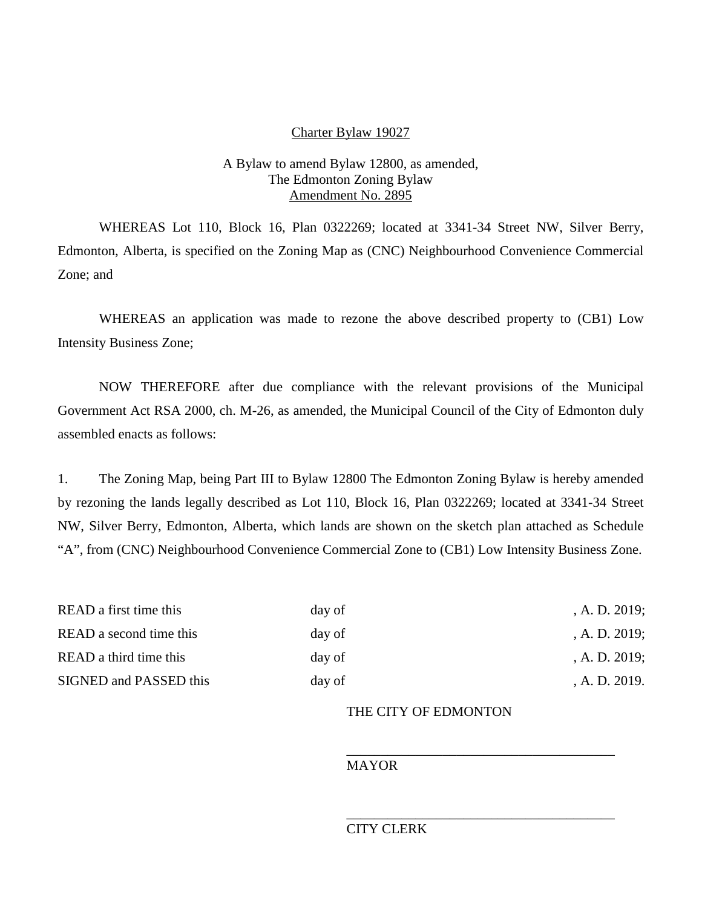#### Charter Bylaw 19027

# A Bylaw to amend Bylaw 12800, as amended, The Edmonton Zoning Bylaw Amendment No. 2895

WHEREAS Lot 110, Block 16, Plan 0322269; located at 3341-34 Street NW, Silver Berry, Edmonton, Alberta, is specified on the Zoning Map as (CNC) Neighbourhood Convenience Commercial Zone; and

WHEREAS an application was made to rezone the above described property to (CB1) Low Intensity Business Zone;

NOW THEREFORE after due compliance with the relevant provisions of the Municipal Government Act RSA 2000, ch. M-26, as amended, the Municipal Council of the City of Edmonton duly assembled enacts as follows:

1. The Zoning Map, being Part III to Bylaw 12800 The Edmonton Zoning Bylaw is hereby amended by rezoning the lands legally described as Lot 110, Block 16, Plan 0322269; located at 3341-34 Street NW, Silver Berry, Edmonton, Alberta, which lands are shown on the sketch plan attached as Schedule "A", from (CNC) Neighbourhood Convenience Commercial Zone to (CB1) Low Intensity Business Zone.

| day of | A. D. 2019;      |
|--------|------------------|
| day of | , A. D. $2019$ ; |
| day of | A. D. 2019;      |
| day of | A. D. 2019.      |
|        |                  |

# THE CITY OF EDMONTON

\_\_\_\_\_\_\_\_\_\_\_\_\_\_\_\_\_\_\_\_\_\_\_\_\_\_\_\_\_\_\_\_\_\_\_\_\_\_\_

\_\_\_\_\_\_\_\_\_\_\_\_\_\_\_\_\_\_\_\_\_\_\_\_\_\_\_\_\_\_\_\_\_\_\_\_\_\_\_

# MAYOR

# CITY CLERK